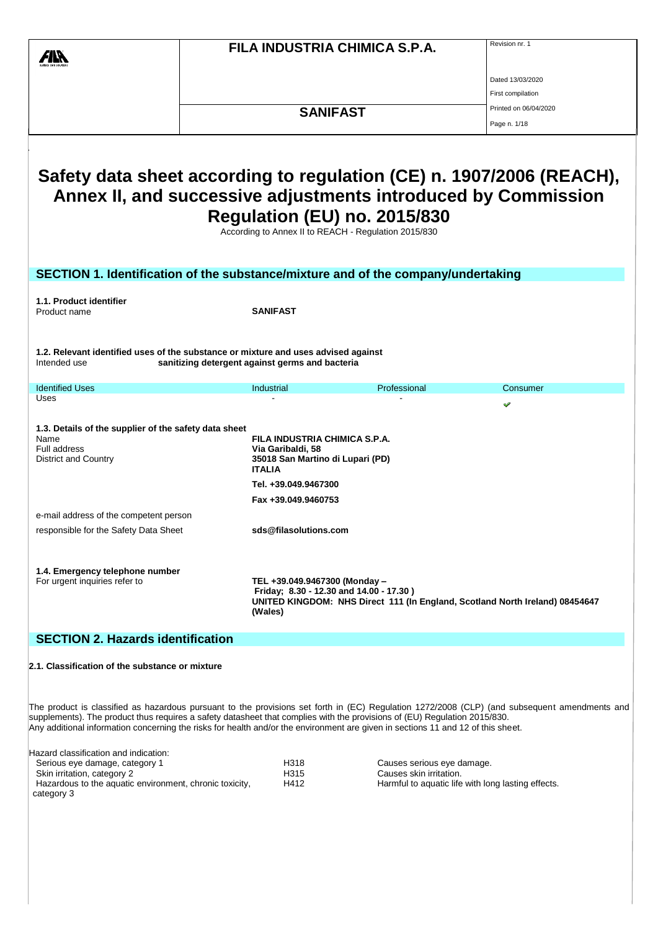|                                                                                                                                                                                                                                                               |  |                                                                                                                                                        | FILA INDUSTRIA CHIMICA S.P.A. | Revision nr. 1                                                                                                                                |  |  |
|---------------------------------------------------------------------------------------------------------------------------------------------------------------------------------------------------------------------------------------------------------------|--|--------------------------------------------------------------------------------------------------------------------------------------------------------|-------------------------------|-----------------------------------------------------------------------------------------------------------------------------------------------|--|--|
|                                                                                                                                                                                                                                                               |  |                                                                                                                                                        |                               |                                                                                                                                               |  |  |
|                                                                                                                                                                                                                                                               |  |                                                                                                                                                        |                               | Dated 13/03/2020                                                                                                                              |  |  |
|                                                                                                                                                                                                                                                               |  |                                                                                                                                                        |                               | First compilation                                                                                                                             |  |  |
|                                                                                                                                                                                                                                                               |  | <b>SANIFAST</b>                                                                                                                                        |                               | Printed on 06/04/2020                                                                                                                         |  |  |
|                                                                                                                                                                                                                                                               |  |                                                                                                                                                        |                               | Page n. 1/18                                                                                                                                  |  |  |
| Safety data sheet according to regulation (CE) n. 1907/2006 (REACH),<br>Annex II, and successive adjustments introduced by Commission<br>Regulation (EU) no. 2015/830<br>According to Annex II to REACH - Regulation 2015/830                                 |  |                                                                                                                                                        |                               |                                                                                                                                               |  |  |
| SECTION 1. Identification of the substance/mixture and of the company/undertaking                                                                                                                                                                             |  |                                                                                                                                                        |                               |                                                                                                                                               |  |  |
| 1.1. Product identifier                                                                                                                                                                                                                                       |  |                                                                                                                                                        |                               |                                                                                                                                               |  |  |
| Product name                                                                                                                                                                                                                                                  |  | <b>SANIFAST</b>                                                                                                                                        |                               |                                                                                                                                               |  |  |
| 1.2. Relevant identified uses of the substance or mixture and uses advised against<br>Intended use                                                                                                                                                            |  | sanitizing detergent against germs and bacteria                                                                                                        |                               |                                                                                                                                               |  |  |
| <b>Identified Uses</b>                                                                                                                                                                                                                                        |  | Industrial                                                                                                                                             | Professional                  | Consumer                                                                                                                                      |  |  |
| Uses                                                                                                                                                                                                                                                          |  |                                                                                                                                                        |                               |                                                                                                                                               |  |  |
| 1.3. Details of the supplier of the safety data sheet<br>Name<br>Full address<br><b>District and Country</b>                                                                                                                                                  |  | FILA INDUSTRIA CHIMICA S.P.A.<br>Via Garibaldi, 58<br>35018 San Martino di Lupari (PD)<br><b>ITALIA</b><br>Tel. +39.049.9467300<br>Fax +39.049.9460753 |                               |                                                                                                                                               |  |  |
| e-mail address of the competent person                                                                                                                                                                                                                        |  |                                                                                                                                                        |                               |                                                                                                                                               |  |  |
| responsible for the Safety Data Sheet                                                                                                                                                                                                                         |  | sds@filasolutions.com                                                                                                                                  |                               |                                                                                                                                               |  |  |
| 1.4. Emergency telephone number<br>For urgent inquiries refer to                                                                                                                                                                                              |  | TEL +39.049.9467300 (Monday -<br>Friday; 8.30 - 12.30 and 14.00 - 17.30)<br>(Wales)                                                                    |                               | UNITED KINGDOM: NHS Direct 111 (In England, Scotland North Ireland) 08454647                                                                  |  |  |
| <b>SECTION 2. Hazards identification</b>                                                                                                                                                                                                                      |  |                                                                                                                                                        |                               |                                                                                                                                               |  |  |
| 2.1. Classification of the substance or mixture                                                                                                                                                                                                               |  |                                                                                                                                                        |                               |                                                                                                                                               |  |  |
| supplements). The product thus requires a safety datasheet that complies with the provisions of (EU) Regulation 2015/830.<br>Any additional information concerning the risks for health and/or the environment are given in sections 11 and 12 of this sheet. |  |                                                                                                                                                        |                               | The product is classified as hazardous pursuant to the provisions set forth in (EC) Regulation 1272/2008 (CLP) (and subsequent amendments and |  |  |
| Hazard classification and indication:<br>Serious eve damage category 1                                                                                                                                                                                        |  | H318                                                                                                                                                   | Causes serious eve damage     |                                                                                                                                               |  |  |

| Serious eye damage, category 1                          | H318 | Causes serious eye damage.                         |
|---------------------------------------------------------|------|----------------------------------------------------|
| Skin irritation, category 2                             | H315 | Causes skin irritation.                            |
| Hazardous to the aquatic environment, chronic toxicity, | H412 | Harmful to aquatic life with long lasting effects. |
| category 3                                              |      |                                                    |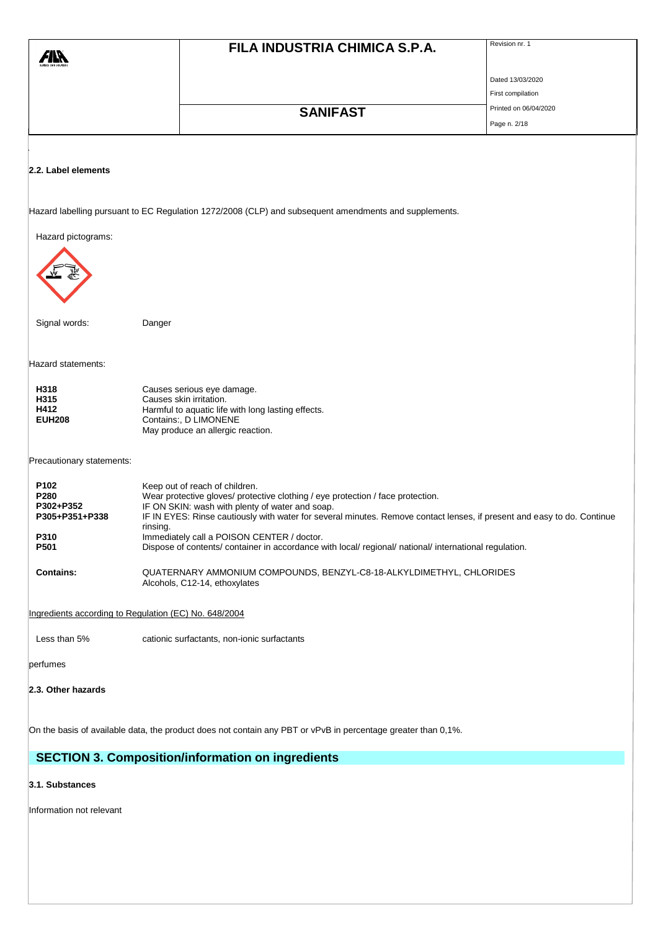|                                                       |          | FILA INDUSTRIA CHIMICA S.P.A.                                                                                                                        | Revision nr. 1                             |
|-------------------------------------------------------|----------|------------------------------------------------------------------------------------------------------------------------------------------------------|--------------------------------------------|
|                                                       |          |                                                                                                                                                      |                                            |
|                                                       |          |                                                                                                                                                      | Dated 13/03/2020                           |
|                                                       |          |                                                                                                                                                      | First compilation<br>Printed on 06/04/2020 |
|                                                       |          | <b>SANIFAST</b>                                                                                                                                      | Page n. 2/18                               |
|                                                       |          |                                                                                                                                                      |                                            |
|                                                       |          |                                                                                                                                                      |                                            |
| 2.2. Label elements                                   |          |                                                                                                                                                      |                                            |
|                                                       |          |                                                                                                                                                      |                                            |
|                                                       |          | Hazard labelling pursuant to EC Regulation 1272/2008 (CLP) and subsequent amendments and supplements.                                                |                                            |
| Hazard pictograms:                                    |          |                                                                                                                                                      |                                            |
|                                                       |          |                                                                                                                                                      |                                            |
|                                                       |          |                                                                                                                                                      |                                            |
|                                                       |          |                                                                                                                                                      |                                            |
|                                                       |          |                                                                                                                                                      |                                            |
| Signal words:                                         | Danger   |                                                                                                                                                      |                                            |
|                                                       |          |                                                                                                                                                      |                                            |
| Hazard statements:                                    |          |                                                                                                                                                      |                                            |
| H318                                                  |          | Causes serious eye damage.                                                                                                                           |                                            |
| H315<br>H412                                          |          | Causes skin irritation.<br>Harmful to aquatic life with long lasting effects.                                                                        |                                            |
| <b>EUH208</b>                                         |          | Contains:, D LIMONENE                                                                                                                                |                                            |
|                                                       |          | May produce an allergic reaction.                                                                                                                    |                                            |
| Precautionary statements:                             |          |                                                                                                                                                      |                                            |
| P102                                                  |          | Keep out of reach of children.                                                                                                                       |                                            |
| P280<br>P302+P352                                     |          | Wear protective gloves/ protective clothing / eye protection / face protection.<br>IF ON SKIN: wash with plenty of water and soap.                   |                                            |
| P305+P351+P338                                        | rinsing. | IF IN EYES: Rinse cautiously with water for several minutes. Remove contact lenses, if present and easy to do. Continue                              |                                            |
| P310<br>P501                                          |          | Immediately call a POISON CENTER / doctor.<br>Dispose of contents/ container in accordance with local/ regional/ national/ international regulation. |                                            |
|                                                       |          |                                                                                                                                                      |                                            |
| <b>Contains:</b>                                      |          | QUATERNARY AMMONIUM COMPOUNDS, BENZYL-C8-18-ALKYLDIMETHYL, CHLORIDES<br>Alcohols, C12-14, ethoxylates                                                |                                            |
|                                                       |          |                                                                                                                                                      |                                            |
| Ingredients according to Regulation (EC) No. 648/2004 |          |                                                                                                                                                      |                                            |
| Less than 5%                                          |          | cationic surfactants, non-ionic surfactants                                                                                                          |                                            |
| perfumes                                              |          |                                                                                                                                                      |                                            |
| 2.3. Other hazards                                    |          |                                                                                                                                                      |                                            |
|                                                       |          |                                                                                                                                                      |                                            |
|                                                       |          | On the basis of available data, the product does not contain any PBT or vPvB in percentage greater than 0,1%.                                        |                                            |

# **SECTION 3. Composition/information on ingredients**

### **3.1. Substances**

Information not relevant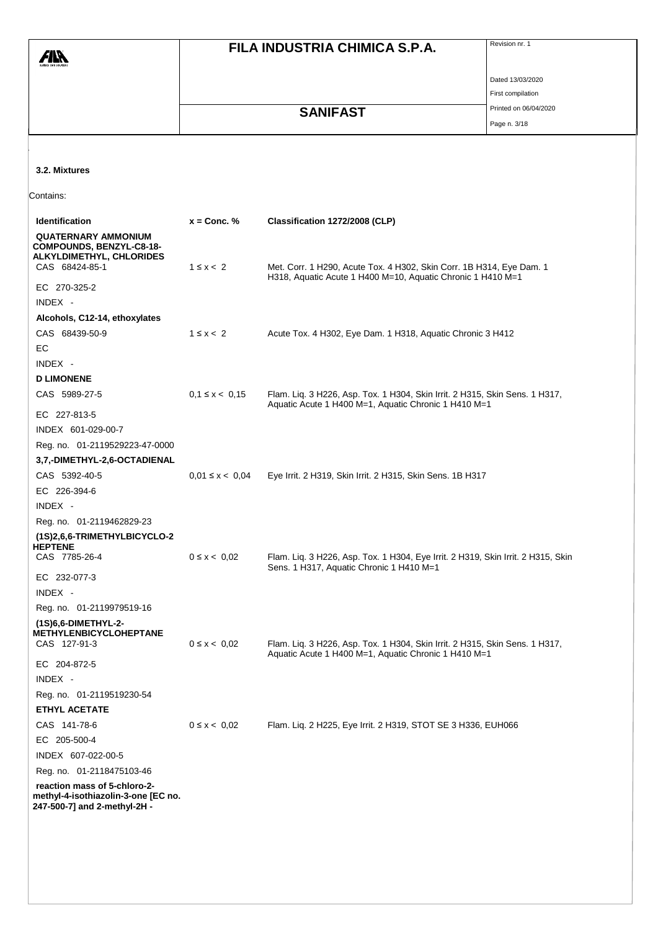|                                                                                                     |                     | FILA INDUSTRIA CHIMICA S.P.A.                                                                                                       | Revision nr. 1        |
|-----------------------------------------------------------------------------------------------------|---------------------|-------------------------------------------------------------------------------------------------------------------------------------|-----------------------|
|                                                                                                     |                     |                                                                                                                                     |                       |
|                                                                                                     |                     |                                                                                                                                     | Dated 13/03/2020      |
|                                                                                                     |                     |                                                                                                                                     | First compilation     |
|                                                                                                     |                     | <b>SANIFAST</b>                                                                                                                     | Printed on 06/04/2020 |
|                                                                                                     |                     |                                                                                                                                     | Page n. 3/18          |
|                                                                                                     |                     |                                                                                                                                     |                       |
|                                                                                                     |                     |                                                                                                                                     |                       |
| 3.2. Mixtures                                                                                       |                     |                                                                                                                                     |                       |
| Contains:                                                                                           |                     |                                                                                                                                     |                       |
| Identification                                                                                      | $x =$ Conc. %       | Classification 1272/2008 (CLP)                                                                                                      |                       |
| <b>QUATERNARY AMMONIUM</b><br>COMPOUNDS, BENZYL-C8-18-<br>ALKYLDIMETHYL, CHLORIDES                  |                     |                                                                                                                                     |                       |
| CAS 68424-85-1                                                                                      | $1 \leq x < 2$      | Met. Corr. 1 H290, Acute Tox. 4 H302, Skin Corr. 1B H314, Eye Dam. 1<br>H318, Aquatic Acute 1 H400 M=10, Aquatic Chronic 1 H410 M=1 |                       |
| EC 270-325-2                                                                                        |                     |                                                                                                                                     |                       |
| INDEX -                                                                                             |                     |                                                                                                                                     |                       |
| Alcohols, C12-14, ethoxylates                                                                       |                     |                                                                                                                                     |                       |
| CAS 68439-50-9                                                                                      | $1 \leq x < 2$      | Acute Tox. 4 H302, Eye Dam. 1 H318, Aquatic Chronic 3 H412                                                                          |                       |
| <b>EC</b>                                                                                           |                     |                                                                                                                                     |                       |
| INDEX -                                                                                             |                     |                                                                                                                                     |                       |
| <b>D LIMONENE</b>                                                                                   |                     |                                                                                                                                     |                       |
| CAS 5989-27-5                                                                                       | $0,1 \leq x < 0,15$ | Flam. Liq. 3 H226, Asp. Tox. 1 H304, Skin Irrit. 2 H315, Skin Sens. 1 H317,                                                         |                       |
| EC 227-813-5                                                                                        |                     | Aquatic Acute 1 H400 M=1, Aquatic Chronic 1 H410 M=1                                                                                |                       |
| INDEX 601-029-00-7                                                                                  |                     |                                                                                                                                     |                       |
| Reg. no. 01-2119529223-47-0000                                                                      |                     |                                                                                                                                     |                       |
| 3,7,-DIMETHYL-2,6-OCTADIENAL                                                                        |                     |                                                                                                                                     |                       |
| CAS 5392-40-5                                                                                       | $0.01 \le x < 0.04$ | Eye Irrit. 2 H319, Skin Irrit. 2 H315, Skin Sens. 1B H317                                                                           |                       |
| EC 226-394-6                                                                                        |                     |                                                                                                                                     |                       |
| INDEX -                                                                                             |                     |                                                                                                                                     |                       |
| Reg. no. 01-2119462829-23                                                                           |                     |                                                                                                                                     |                       |
| (1S)2,6,6-TRIMETHYLBICYCLO-2                                                                        |                     |                                                                                                                                     |                       |
| <b>HEPTENE</b><br>CAS 7785-26-4                                                                     | $0 \le x < 0.02$    | Flam. Liq. 3 H226, Asp. Tox. 1 H304, Eye Irrit. 2 H319, Skin Irrit. 2 H315, Skin                                                    |                       |
|                                                                                                     |                     | Sens. 1 H317, Aquatic Chronic 1 H410 M=1                                                                                            |                       |
| EC 232-077-3                                                                                        |                     |                                                                                                                                     |                       |
| INDEX -                                                                                             |                     |                                                                                                                                     |                       |
| Reg. no. 01-2119979519-16                                                                           |                     |                                                                                                                                     |                       |
| (1S)6,6-DIMETHYL-2-<br><b>METHYLENBICYCLOHEPTANE</b>                                                |                     |                                                                                                                                     |                       |
| CAS 127-91-3                                                                                        | $0 \le x < 0.02$    | Flam. Liq. 3 H226, Asp. Tox. 1 H304, Skin Irrit. 2 H315, Skin Sens. 1 H317,                                                         |                       |
| EC 204-872-5                                                                                        |                     | Aquatic Acute 1 H400 M=1, Aquatic Chronic 1 H410 M=1                                                                                |                       |
| INDEX -                                                                                             |                     |                                                                                                                                     |                       |
| Reg. no. 01-2119519230-54                                                                           |                     |                                                                                                                                     |                       |
| <b>ETHYL ACETATE</b>                                                                                |                     |                                                                                                                                     |                       |
| CAS 141-78-6                                                                                        | $0 \le x < 0.02$    | Flam. Liq. 2 H225, Eye Irrit. 2 H319, STOT SE 3 H336, EUH066                                                                        |                       |
| EC 205-500-4                                                                                        |                     |                                                                                                                                     |                       |
| INDEX 607-022-00-5                                                                                  |                     |                                                                                                                                     |                       |
|                                                                                                     |                     |                                                                                                                                     |                       |
| Reg. no. 01-2118475103-46                                                                           |                     |                                                                                                                                     |                       |
| reaction mass of 5-chloro-2-<br>methyl-4-isothiazolin-3-one [EC no.<br>247-500-7] and 2-methyl-2H - |                     |                                                                                                                                     |                       |
|                                                                                                     |                     |                                                                                                                                     |                       |
|                                                                                                     |                     |                                                                                                                                     |                       |
|                                                                                                     |                     |                                                                                                                                     |                       |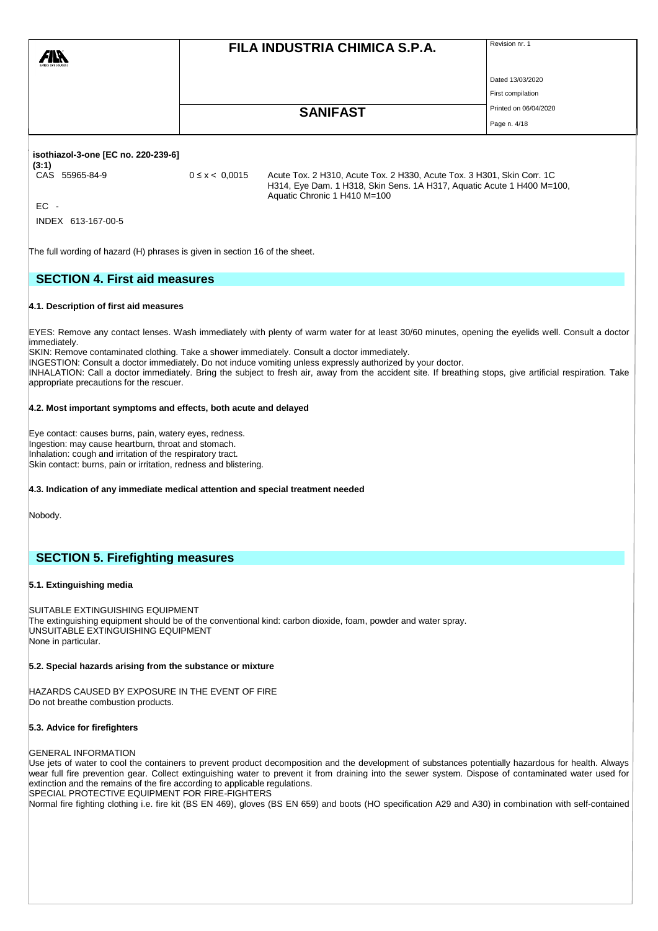|                                                                                                                                                                                                                                                                                                          |  | FILA INDUSTRIA CHIMICA S.P.A. | Revision nr. 1        |  |  |  |
|----------------------------------------------------------------------------------------------------------------------------------------------------------------------------------------------------------------------------------------------------------------------------------------------------------|--|-------------------------------|-----------------------|--|--|--|
|                                                                                                                                                                                                                                                                                                          |  |                               | Dated 13/03/2020      |  |  |  |
|                                                                                                                                                                                                                                                                                                          |  |                               | First compilation     |  |  |  |
|                                                                                                                                                                                                                                                                                                          |  | <b>SANIFAST</b>               | Printed on 06/04/2020 |  |  |  |
|                                                                                                                                                                                                                                                                                                          |  |                               | Page n. 4/18          |  |  |  |
| isothiazol-3-one [EC no. 220-239-6]<br>(3:1)<br>CAS 55965-84-9<br>$0 \le x < 0.0015$<br>Acute Tox. 2 H310, Acute Tox. 2 H330, Acute Tox. 3 H301, Skin Corr. 1C<br>H314, Eye Dam. 1 H318, Skin Sens. 1A H317, Aquatic Acute 1 H400 M=100,<br>Aquatic Chronic 1 H410 M=100<br>$EC -$<br>INDEX 613-167-00-5 |  |                               |                       |  |  |  |
| The full wording of hazard (H) phrases is given in section 16 of the sheet.                                                                                                                                                                                                                              |  |                               |                       |  |  |  |
| <b>SECTION 4. First aid measures</b>                                                                                                                                                                                                                                                                     |  |                               |                       |  |  |  |

#### **4.1. Description of first aid measures**

EYES: Remove any contact lenses. Wash immediately with plenty of warm water for at least 30/60 minutes, opening the eyelids well. Consult a doctor immediately.

SKIN: Remove contaminated clothing. Take a shower immediately. Consult a doctor immediately.

INGESTION: Consult a doctor immediately. Do not induce vomiting unless expressly authorized by your doctor.

INHALATION: Call a doctor immediately. Bring the subject to fresh air, away from the accident site. If breathing stops, give artificial respiration. Take appropriate precautions for the rescuer.

### **4.2. Most important symptoms and effects, both acute and delayed**

Eye contact: causes burns, pain, watery eyes, redness. Ingestion: may cause heartburn, throat and stomach. Inhalation: cough and irritation of the respiratory tract. Skin contact: burns, pain or irritation, redness and blistering.

**4.3. Indication of any immediate medical attention and special treatment needed**

Nobody.

## **SECTION 5. Firefighting measures**

### **5.1. Extinguishing media**

SUITABLE EXTINGUISHING EQUIPMENT The extinguishing equipment should be of the conventional kind: carbon dioxide, foam, powder and water spray. UNSUITABLE EXTINGUISHING EQUIPMENT None in particular.

#### **5.2. Special hazards arising from the substance or mixture**

HAZARDS CAUSED BY EXPOSURE IN THE EVENT OF FIRE Do not breathe combustion products.

#### **5.3. Advice for firefighters**

#### GENERAL INFORMATION

Use jets of water to cool the containers to prevent product decomposition and the development of substances potentially hazardous for health. Always wear full fire prevention gear. Collect extinguishing water to prevent it from draining into the sewer system. Dispose of contaminated water used for extinction and the remains of the fire according to applicable regulations. SPECIAL PROTECTIVE EQUIPMENT FOR FIRE-FIGHTERS

Normal fire fighting clothing i.e. fire kit (BS EN 469), gloves (BS EN 659) and boots (HO specification A29 and A30) in combination with self-contained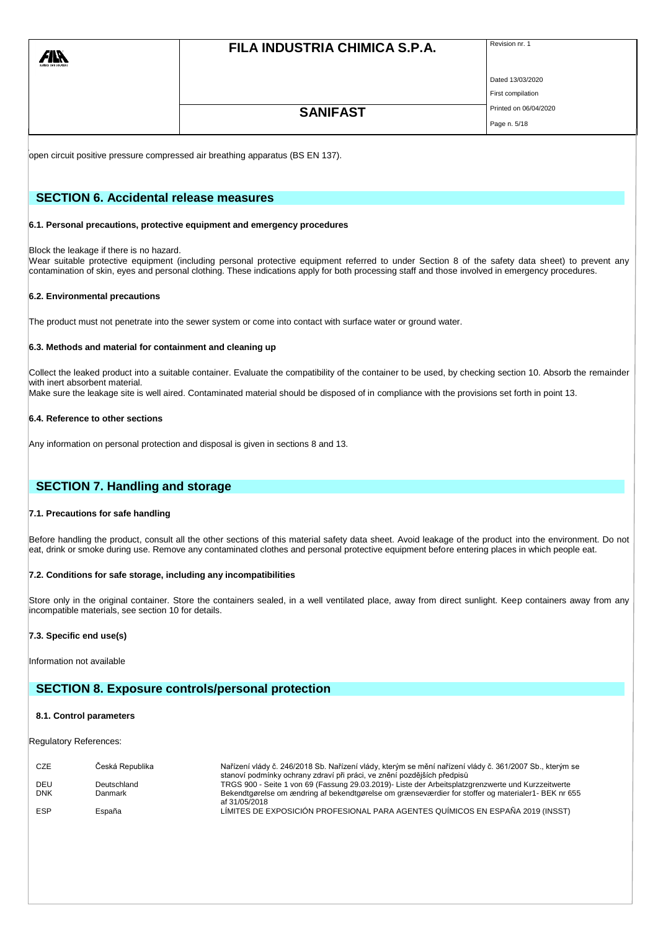# **FILA INDUSTRIA CHIMICA S.P.A.** Revision nr. 1

Dated 13/03/2020

# First compilation **SANIFAST** Printed on 06/04/2020

Page n. 5/18

open circuit positive pressure compressed air breathing apparatus (BS EN 137).

# **SECTION 6. Accidental release measures**

### **6.1. Personal precautions, protective equipment and emergency procedures**

### Block the leakage if there is no hazard.

Wear suitable protective equipment (including personal protective equipment referred to under Section 8 of the safety data sheet) to prevent any contamination of skin, eyes and personal clothing. These indications apply for both processing staff and those involved in emergency procedures.

## **6.2. Environmental precautions**

The product must not penetrate into the sewer system or come into contact with surface water or ground water.

### **6.3. Methods and material for containment and cleaning up**

Collect the leaked product into a suitable container. Evaluate the compatibility of the container to be used, by checking section 10. Absorb the remainder with inert absorbent material.

Make sure the leakage site is well aired. Contaminated material should be disposed of in compliance with the provisions set forth in point 13.

### **6.4. Reference to other sections**

Any information on personal protection and disposal is given in sections 8 and 13.

# **SECTION 7. Handling and storage**

# **7.1. Precautions for safe handling**

Before handling the product, consult all the other sections of this material safety data sheet. Avoid leakage of the product into the environment. Do not eat, drink or smoke during use. Remove any contaminated clothes and personal protective equipment before entering places in which people eat.

# **7.2. Conditions for safe storage, including any incompatibilities**

Store only in the original container. Store the containers sealed, in a well ventilated place, away from direct sunlight. Keep containers away from any incompatible materials, see section 10 for details.

# **7.3. Specific end use(s)**

Information not available

# **SECTION 8. Exposure controls/personal protection**

### **8.1. Control parameters**

Regulatory References:

| <b>CZE</b> | Česká Republika | Nařízení vlády č. 246/2018 Sb. Nařízení vlády, kterým se mění nařízení vlády č. 361/2007 Sb., kterým se<br>stanoví podmínky ochrany zdraví při práci, ve znění pozdějších předpisů |
|------------|-----------------|------------------------------------------------------------------------------------------------------------------------------------------------------------------------------------|
| DEU        | Deutschland     | TRGS 900 - Seite 1 von 69 (Fassung 29.03.2019)- Liste der Arbeitsplatzgrenzwerte und Kurzzeitwerte                                                                                 |
| <b>DNK</b> | Danmark         | Bekendtgørelse om ændring af bekendtgørelse om grænseværdier for stoffer og materialer1- BEK nr 655<br>af 31/05/2018                                                               |
| <b>ESP</b> | España          | LÍMITES DE EXPOSICIÓN PROFESIONAL PARA AGENTES QUÍMICOS EN ESPAÑA 2019 (INSST)                                                                                                     |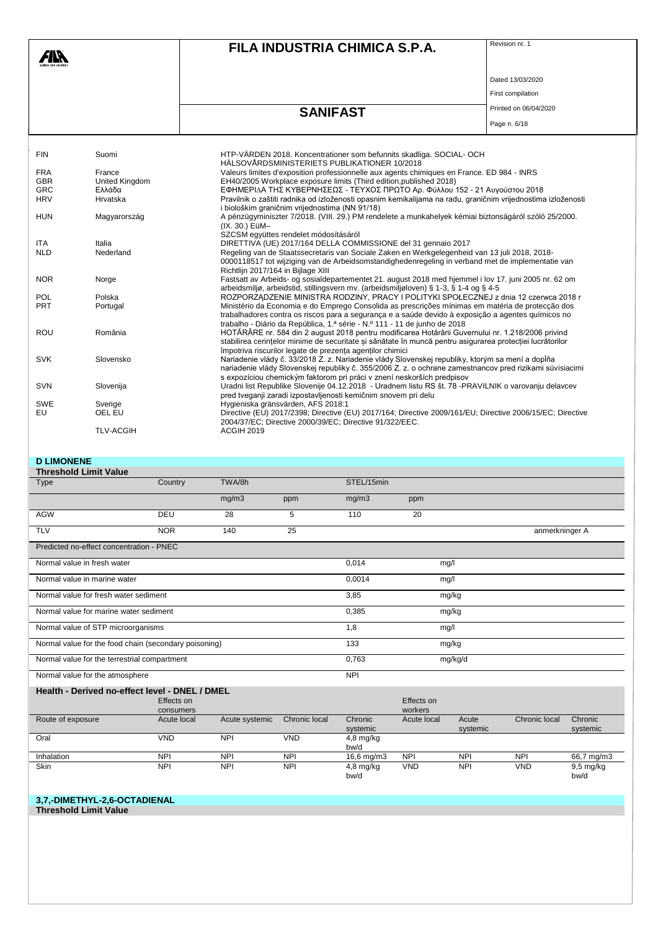|                  |                       | FILA INDUSTRIA CHIMICA S.P.A.                                                                                                                                                                                                                                                       | Revision nr. 1        |
|------------------|-----------------------|-------------------------------------------------------------------------------------------------------------------------------------------------------------------------------------------------------------------------------------------------------------------------------------|-----------------------|
|                  |                       |                                                                                                                                                                                                                                                                                     | Dated 13/03/2020      |
|                  |                       |                                                                                                                                                                                                                                                                                     | First compilation     |
|                  |                       | <b>SANIFAST</b>                                                                                                                                                                                                                                                                     | Printed on 06/04/2020 |
|                  |                       |                                                                                                                                                                                                                                                                                     | Page n. 6/18          |
| <b>FIN</b>       | Suomi                 | HTP-VÄRDEN 2018. Koncentrationer som befunnits skadliga. SOCIAL- OCH<br>HÄLSOVÅRDSMINISTERIETS PUBLIKATIONER 10/2018                                                                                                                                                                |                       |
| <b>FRA</b>       | France                | Valeurs limites d'exposition professionnelle aux agents chimiques en France. ED 984 - INRS                                                                                                                                                                                          |                       |
| <b>GBR</b>       | <b>United Kingdom</b> | EH40/2005 Workplace exposure limits (Third edition, published 2018)                                                                                                                                                                                                                 |                       |
| <b>GRC</b>       | Ελλάδα                | ΕΦΗΜΕΡΙΔΑ ΤΗΣ ΚΥΒΕΡΝΗΣΕΩΣ - ΤΕΥΧΟΣ ΠΡΩΤΟ Αρ. Φύλλου 152 - 21 Αυγούστου 2018                                                                                                                                                                                                         |                       |
| <b>HRV</b>       | Hrvatska              | Pravilnik o zaštiti radnika od izloženosti opasnim kemikalijama na radu, graničnim vrijednostima izloženosti<br>i biološkim graničnim vrijednostima (NN 91/18)                                                                                                                      |                       |
| <b>HUN</b>       | Magyarország          | A pénzügyminiszter 7/2018. (VIII. 29.) PM rendelete a munkahelyek kémiai biztonságáról szóló 25/2000.<br>(IX. 30.) EüM-<br>SZCSM együttes rendelet módosításáról                                                                                                                    |                       |
| <b>ITA</b>       | Italia                | DIRETTIVA (UE) 2017/164 DELLA COMMISSIONE del 31 gennaio 2017                                                                                                                                                                                                                       |                       |
| <b>NLD</b>       | Nederland             | Regeling van de Staatssecretaris van Sociale Zaken en Werkgelegenheid van 13 juli 2018, 2018-<br>0000118517 tot wijziging van de Arbeidsomstandighedenregeling in verband met de implementatie van<br>Richtlijn 2017/164 in Bijlage XIII                                            |                       |
| <b>NOR</b>       | Norge                 | Fastsatt av Arbeids- og sosialdepartementet 21. august 2018 med hjemmel i lov 17. juni 2005 nr. 62 om<br>arbeidsmiljø, arbeidstid, stillingsvern mv. (arbeidsmiljøloven) § 1-3, § 1-4 og § 4-5                                                                                      |                       |
| <b>POL</b>       | Polska                | ROZPORZĄDZENIE MINISTRA RODZINY, PRACY I POLITYKI SPOŁECZNEJ z dnia 12 czerwca 2018 r                                                                                                                                                                                               |                       |
| <b>PRT</b>       | Portugal              | Ministério da Economia e do Emprego Consolida as prescrições mínimas em matéria de protecção dos<br>trabalhadores contra os riscos para a segurança e a saúde devido à exposição a agentes químicos no<br>trabalho - Diário da República, 1.ª série - N.º 111 - 11 de junho de 2018 |                       |
| <b>ROU</b>       | România               | HOTĂRÂRE nr. 584 din 2 august 2018 pentru modificarea Hotărârii Guvernului nr. 1.218/2006 privind<br>stabilirea cerințelor minime de securitate și sănătate în muncă pentru asigurarea protecției lucrătorilor<br>împotriva riscurilor legate de prezenta agentilor chimici         |                       |
| <b>SVK</b>       | Slovensko             | Nariadenie vlády č. 33/2018 Z. z. Nariadenie vlády Slovenskej republiky, ktorým sa mení a dopĺňa<br>nariadenie vlády Slovenskej republiky č. 355/2006 Z. z. o ochrane zamestnancov pred rizikami súvisiacimi                                                                        |                       |
| <b>SVN</b>       | Slovenija             | s expozíciou chemickým faktorom pri práci v znení neskorších predpisov<br>Uradni list Republike Slovenije 04.12.2018 - Uradnem listu RS št. 78 -PRAVILNIK o varovanju delavcev<br>pred tveganji zaradi izpostavljenosti kemičnim snovem pri delu                                    |                       |
| <b>SWE</b><br>EU | Sverige<br>OEL EU     | Hygieniska gränsvärden, AFS 2018:1<br>Directive (EU) 2017/2398; Directive (EU) 2017/164; Directive 2009/161/EU; Directive 2006/15/EC; Directive<br>2004/37/EC; Directive 2000/39/EC; Directive 91/322/EEC.                                                                          |                       |
|                  | <b>TLV-ACGIH</b>      | <b>ACGIH 2019</b>                                                                                                                                                                                                                                                                   |                       |

### **D LIMONENE**

| - - - - - - - - - - - -<br><b>Threshold Limit Value</b> |                         |                |               |                     |                       |                   |                      |                     |
|---------------------------------------------------------|-------------------------|----------------|---------------|---------------------|-----------------------|-------------------|----------------------|---------------------|
| <b>Type</b>                                             | Country                 | TWA/8h         |               | STEL/15min          |                       |                   |                      |                     |
|                                                         |                         | mg/m3          | ppm           | mg/m3               | ppm                   |                   |                      |                     |
| <b>AGW</b>                                              | DEU                     | 28             | 5             | 110                 | 20                    |                   |                      |                     |
| <b>TLV</b>                                              | <b>NOR</b>              | 140            | 25            |                     |                       |                   | anmerkninger A       |                     |
| Predicted no-effect concentration - PNEC                |                         |                |               |                     |                       |                   |                      |                     |
| Normal value in fresh water                             |                         |                |               | 0,014               | mg/l                  |                   |                      |                     |
| Normal value in marine water                            |                         | 0,0014         | mg/l          |                     |                       |                   |                      |                     |
| Normal value for fresh water sediment                   |                         | 3,85           | mg/kg         |                     |                       |                   |                      |                     |
| Normal value for marine water sediment                  |                         | 0,385          | mg/kg         |                     |                       |                   |                      |                     |
| Normal value of STP microorganisms                      |                         |                |               | 1,8                 | mg/l                  |                   |                      |                     |
| Normal value for the food chain (secondary poisoning)   |                         |                |               | 133                 | mg/kg                 |                   |                      |                     |
| Normal value for the terrestrial compartment            |                         | 0,763          | mg/kg/d       |                     |                       |                   |                      |                     |
| Normal value for the atmosphere                         |                         | <b>NPI</b>     |               |                     |                       |                   |                      |                     |
| Health - Derived no-effect level - DNEL / DMEL          |                         |                |               |                     |                       |                   |                      |                     |
|                                                         | Effects on<br>consumers |                |               |                     | Effects on<br>workers |                   |                      |                     |
| Route of exposure                                       | Acute local             | Acute systemic | Chronic local | Chronic<br>systemic | Acute local           | Acute<br>systemic | <b>Chronic local</b> | Chronic<br>systemic |

bw/d

bw/d

VND NPI VND 9,5 mg/kg

bw/d

Inhalation NPI NPI NPI 16,6 mg/m3 NPI NPI NPI 66,7 mg/m3

Oral VND NPI VND 4,8 mg/kg

Skin NPI NPI NPI 4,8 mg/kg

**Threshold Limit Value**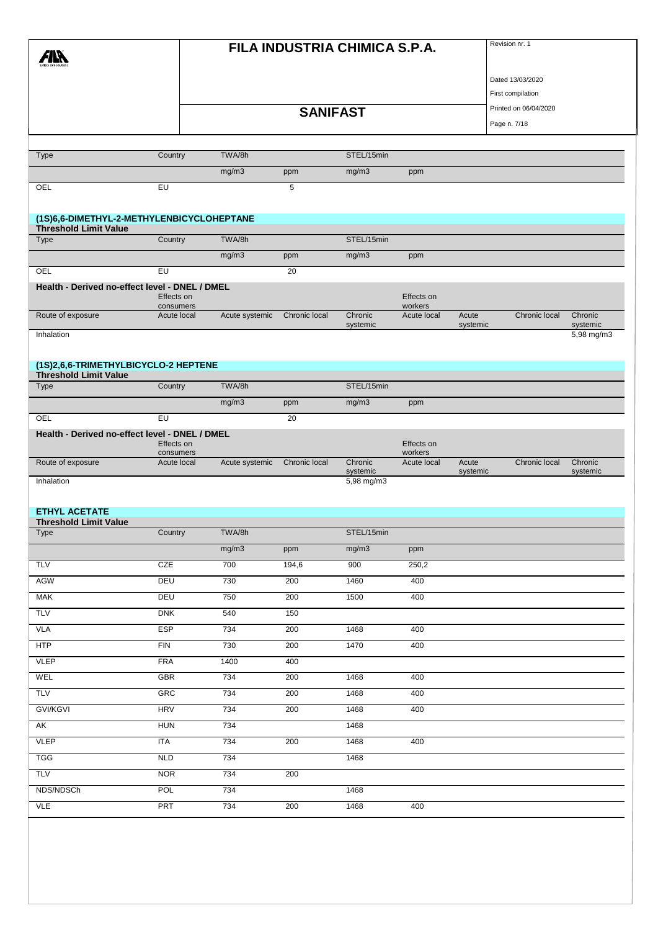|                                                                           |                         | FILA INDUSTRIA CHIMICA S.P.A. |               |                     |                       |                   |                       | Revision nr. 1      |  |  |
|---------------------------------------------------------------------------|-------------------------|-------------------------------|---------------|---------------------|-----------------------|-------------------|-----------------------|---------------------|--|--|
|                                                                           |                         |                               |               |                     |                       |                   | Dated 13/03/2020      |                     |  |  |
|                                                                           |                         |                               |               |                     |                       |                   | First compilation     |                     |  |  |
|                                                                           |                         | <b>SANIFAST</b>               |               |                     |                       |                   | Printed on 06/04/2020 |                     |  |  |
|                                                                           |                         |                               |               |                     |                       |                   | Page n. 7/18          |                     |  |  |
|                                                                           |                         | TWA/8h                        |               | STEL/15min          |                       |                   |                       |                     |  |  |
| Type                                                                      | Country                 |                               |               |                     |                       |                   |                       |                     |  |  |
|                                                                           |                         | mg/m3                         | ppm           | mg/m3               | ppm                   |                   |                       |                     |  |  |
| OEL                                                                       | $E$ U                   |                               | 5             |                     |                       |                   |                       |                     |  |  |
| (1S)6,6-DIMETHYL-2-METHYLENBICYCLOHEPTANE<br><b>Threshold Limit Value</b> |                         |                               |               |                     |                       |                   |                       |                     |  |  |
| Type                                                                      | Country                 | TWA/8h                        |               | STEL/15min          |                       |                   |                       |                     |  |  |
|                                                                           |                         | mg/m3                         | ppm           | mg/m3               | ppm                   |                   |                       |                     |  |  |
| OEL                                                                       | EU                      |                               | 20            |                     |                       |                   |                       |                     |  |  |
| Health - Derived no-effect level - DNEL / DMEL                            | Effects on<br>consumers |                               |               |                     | Effects on<br>workers |                   |                       |                     |  |  |
| Route of exposure                                                         | Acute local             | Acute systemic                | Chronic local | Chronic<br>systemic | Acute local           | Acute<br>systemic | Chronic local         | Chronic<br>systemic |  |  |
| Inhalation                                                                |                         |                               |               |                     |                       |                   |                       | 5,98 mg/m3          |  |  |
| (1S)2,6,6-TRIMETHYLBICYCLO-2 HEPTENE<br><b>Threshold Limit Value</b>      |                         |                               |               |                     |                       |                   |                       |                     |  |  |
| Type                                                                      | Country                 | TWA/8h                        |               | STEL/15min          |                       |                   |                       |                     |  |  |
|                                                                           |                         | mg/m3                         | ppm           | mg/m3               | ppm                   |                   |                       |                     |  |  |
| OEL                                                                       | EU                      |                               | 20            |                     |                       |                   |                       |                     |  |  |
| Health - Derived no-effect level - DNEL / DMEL                            |                         |                               |               |                     |                       |                   |                       |                     |  |  |
|                                                                           | Effects on<br>consumers |                               |               |                     | Effects on<br>workers |                   |                       |                     |  |  |
| Route of exposure                                                         | Acute local             | Acute systemic                | Chronic local | Chronic<br>systemic | Acute local           | Acute<br>systemic | Chronic local         | Chronic<br>systemic |  |  |
| Inhalation                                                                |                         |                               |               | 5,98 mg/m3          |                       |                   |                       |                     |  |  |
|                                                                           |                         |                               |               |                     |                       |                   |                       |                     |  |  |
| <b>ETHYL ACETATE</b>                                                      |                         |                               |               |                     |                       |                   |                       |                     |  |  |
| <b>Threshold Limit Value</b><br>Type                                      | Country                 | TWA/8h                        |               | STEL/15min          |                       |                   |                       |                     |  |  |
|                                                                           |                         | mg/m3                         | ppm           | mg/m3               | ppm                   |                   |                       |                     |  |  |
| <b>TLV</b>                                                                | CZE                     | 700                           | 194,6         | 900                 | 250,2                 |                   |                       |                     |  |  |
| AGW                                                                       | DEU                     | 730                           | 200           | 1460                | 400                   |                   |                       |                     |  |  |
| <b>MAK</b>                                                                | <b>DEU</b>              | 750                           | 200           | 1500                | 400                   |                   |                       |                     |  |  |
| <b>TLV</b>                                                                | DNK                     | 540                           | 150           |                     |                       |                   |                       |                     |  |  |
| <b>VLA</b>                                                                | <b>ESP</b>              | 734                           | 200           | 1468                | 400                   |                   |                       |                     |  |  |
| <b>HTP</b>                                                                | <b>FIN</b>              | 730                           | 200           | 1470                | 400                   |                   |                       |                     |  |  |
| <b>VLEP</b>                                                               | <b>FRA</b>              | 1400                          | 400           |                     |                       |                   |                       |                     |  |  |
| WEL                                                                       | <b>GBR</b>              | 734                           | 200           | 1468                | 400                   |                   |                       |                     |  |  |
| <b>TLV</b>                                                                | GRC                     | 734                           | 200           | 1468                | 400                   |                   |                       |                     |  |  |
| <b>GVI/KGVI</b>                                                           | <b>HRV</b>              | 734                           | 200           | 1468                | 400                   |                   |                       |                     |  |  |
| AK                                                                        | <b>HUN</b>              | 734                           |               | 1468                |                       |                   |                       |                     |  |  |
| <b>VLEP</b>                                                               | <b>ITA</b>              | 734                           | 200           | 1468                | 400                   |                   |                       |                     |  |  |
| <b>TGG</b>                                                                | NLD                     | 734                           |               | 1468                |                       |                   |                       |                     |  |  |
| <b>TLV</b>                                                                | <b>NOR</b>              | 734                           | 200           |                     |                       |                   |                       |                     |  |  |
| NDS/NDSCh                                                                 | <b>POL</b>              | 734                           |               | 1468                |                       |                   |                       |                     |  |  |
| <b>VLE</b>                                                                | <b>PRT</b>              | 734                           | 200           | 1468                | 400                   |                   |                       |                     |  |  |
|                                                                           |                         |                               |               |                     |                       |                   |                       |                     |  |  |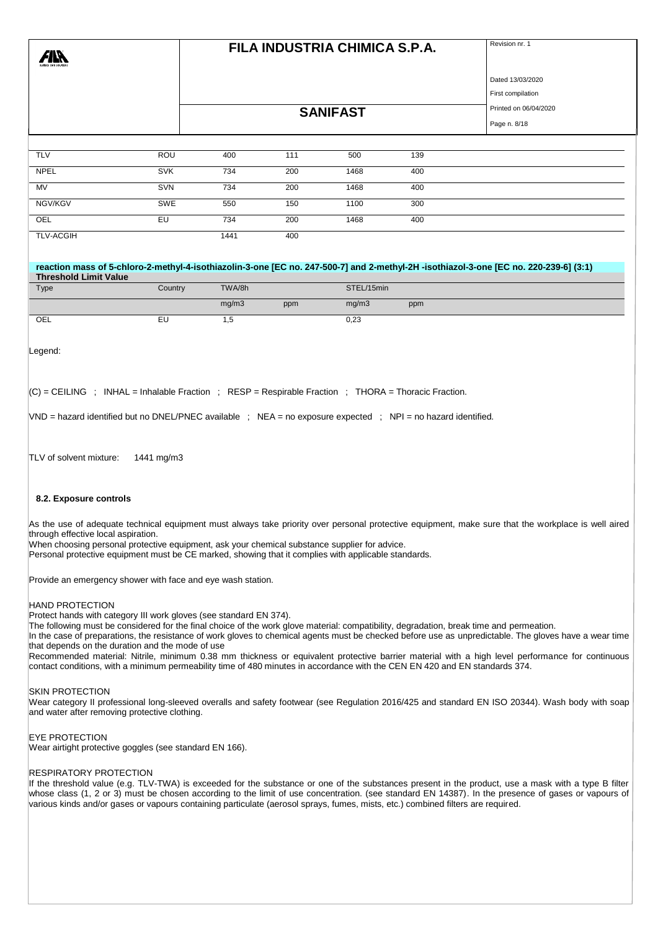| 7IN<br>lara ram selutiw |            |      | FILA INDUSTRIA CHIMICA S.P.A. | Revision nr. 1        |     |                   |
|-------------------------|------------|------|-------------------------------|-----------------------|-----|-------------------|
|                         |            |      |                               |                       |     | Dated 13/03/2020  |
|                         |            |      |                               |                       |     | First compilation |
|                         |            |      | <b>SANIFAST</b>               | Printed on 06/04/2020 |     |                   |
|                         |            |      |                               | Page n. 8/18          |     |                   |
|                         |            |      |                               |                       |     |                   |
| <b>TLV</b>              | ROU        | 400  | 111                           | 500                   | 139 |                   |
| <b>NPEL</b>             | <b>SVK</b> | 734  | 200                           | 1468                  | 400 |                   |
| MV                      | SVN        | 734  | 200                           | 1468                  | 400 |                   |
| NGV/KGV                 | SWE        | 550  | 150                           | 1100                  | 300 |                   |
| OEL                     | EU         | 734  | 200                           | 1468                  | 400 |                   |
| <b>TLV-ACGIH</b>        |            | 1441 | 400                           |                       |     |                   |
|                         |            |      |                               |                       |     |                   |

#### **reaction mass of 5-chloro-2-methyl-4-isothiazolin-3-one [EC no. 247-500-7] and 2-methyl-2H -isothiazol-3-one [EC no. 220-239-6] (3:1) Threshold Limit Value**

| Type | Country | TWA/8h |     | STEL/15min |     |
|------|---------|--------|-----|------------|-----|
|      |         | mg/m3  | ppm | mg/m3      | ppm |
| OEL  | -<br>∽− | . .    |     | 0,23       |     |

Legend:

 $|C|$  = CEILING ; INHAL = Inhalable Fraction ; RESP = Respirable Fraction ; THORA = Thoracic Fraction.

VND = hazard identified but no DNEL/PNEC available ; NEA = no exposure expected ; NPI = no hazard identified.

TLV of solvent mixture: 1441 mg/m3

#### **8.2. Exposure controls**

As the use of adequate technical equipment must always take priority over personal protective equipment, make sure that the workplace is well aired through effective local aspiration.

When choosing personal protective equipment, ask your chemical substance supplier for advice.

Personal protective equipment must be CE marked, showing that it complies with applicable standards.

Provide an emergency shower with face and eye wash station.

#### HAND PROTECTION

Protect hands with category III work gloves (see standard EN 374).

The following must be considered for the final choice of the work glove material: compatibility, degradation, break time and permeation.

In the case of preparations, the resistance of work gloves to chemical agents must be checked before use as unpredictable. The gloves have a wear time that depends on the duration and the mode of use

Recommended material: Nitrile, minimum 0.38 mm thickness or equivalent protective barrier material with a high level performance for continuous contact conditions, with a minimum permeability time of 480 minutes in accordance with the CEN EN 420 and EN standards 374.

#### SKIN PROTECTION

Wear category II professional long-sleeved overalls and safety footwear (see Regulation 2016/425 and standard EN ISO 20344). Wash body with soap and water after removing protective clothing.

#### EYE PROTECTION

Wear airtight protective goggles (see standard EN 166).

#### RESPIRATORY PROTECTION

If the threshold value (e.g. TLV-TWA) is exceeded for the substance or one of the substances present in the product, use a mask with a type B filter whose class (1, 2 or 3) must be chosen according to the limit of use concentration. (see standard EN 14387). In the presence of gases or vapours of various kinds and/or gases or vapours containing particulate (aerosol sprays, fumes, mists, etc.) combined filters are required.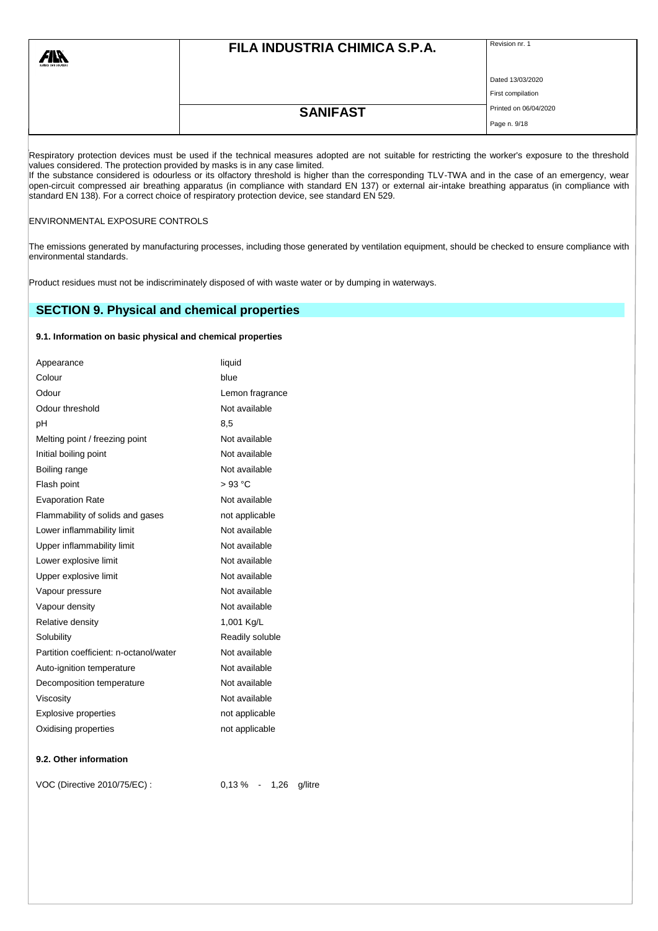| surface care solutions | FILA INDUSTRIA CHIMICA S.P.A. |                       |
|------------------------|-------------------------------|-----------------------|
|                        |                               | Dated 13/03/2020      |
|                        |                               | First compilation     |
|                        | <b>SANIFAST</b>               | Printed on 06/04/2020 |
|                        |                               | Page n. 9/18          |

Respiratory protection devices must be used if the technical measures adopted are not suitable for restricting the worker's exposure to the threshold values considered. The protection provided by masks is in any case limited.

If the substance considered is odourless or its olfactory threshold is higher than the corresponding TLV-TWA and in the case of an emergency, wear open-circuit compressed air breathing apparatus (in compliance with standard EN 137) or external air-intake breathing apparatus (in compliance with standard EN 138). For a correct choice of respiratory protection device, see standard EN 529.

### ENVIRONMENTAL EXPOSURE CONTROLS

The emissions generated by manufacturing processes, including those generated by ventilation equipment, should be checked to ensure compliance with environmental standards.

Product residues must not be indiscriminately disposed of with waste water or by dumping in waterways.

# **SECTION 9. Physical and chemical properties**

# **9.1. Information on basic physical and chemical properties**

| Appearance                             | liquid                     |
|----------------------------------------|----------------------------|
| Colour                                 | blue                       |
| Odour                                  | Lemon fragrance            |
| Odour threshold                        | Not available              |
| рH                                     | 8,5                        |
| Melting point / freezing point         | Not available              |
| Initial boiling point                  | Not available              |
| Boiling range                          | Not available              |
| Flash point                            | $>93$ °C                   |
| <b>Evaporation Rate</b>                | Not available              |
| Flammability of solids and gases       | not applicable             |
| Lower inflammability limit             | Not available              |
| Upper inflammability limit             | Not available              |
| Lower explosive limit                  | Not available              |
| Upper explosive limit                  | Not available              |
| Vapour pressure                        | Not available              |
| Vapour density                         | Not available              |
| Relative density                       | 1,001 Kg/L                 |
| Solubility                             | Readily soluble            |
| Partition coefficient: n-octanol/water | Not available              |
| Auto-ignition temperature              | Not available              |
| Decomposition temperature              | Not available              |
| Viscosity                              | Not available              |
| Explosive properties                   | not applicable             |
| Oxidising properties                   | not applicable             |
| 9.2. Other information                 |                            |
| VOC (Directive 2010/75/EC):            | $0,13\% - 1,26$<br>g/litre |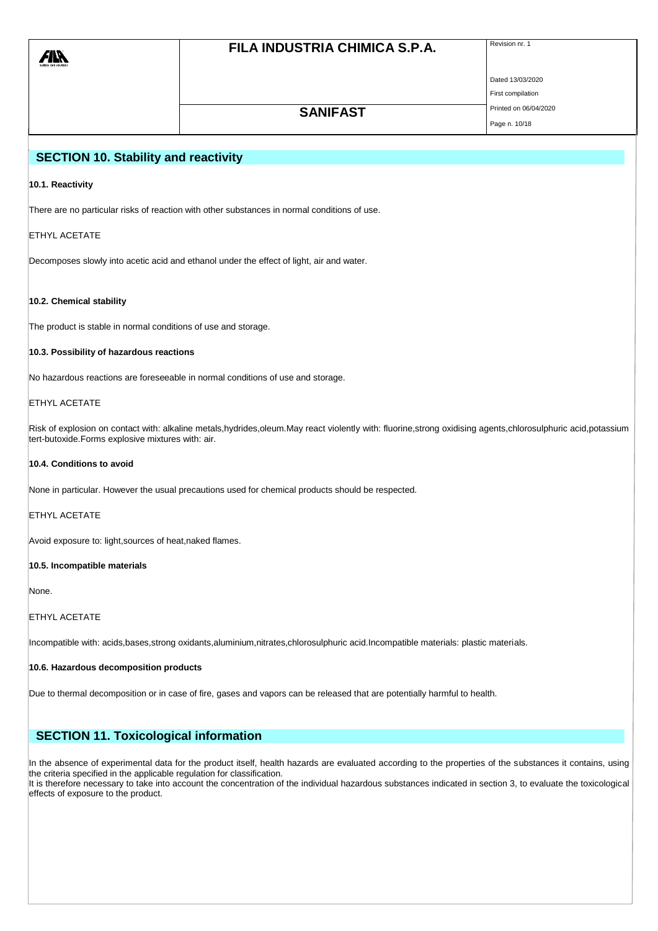| All<br>surface care solutions | FILA INDUSTRIA CHIMICA S.P.A. | Revision nr. 1        |
|-------------------------------|-------------------------------|-----------------------|
|                               |                               | Dated 13/03/2020      |
|                               |                               | First compilation     |
|                               | <b>SANIFAST</b>               | Printed on 06/04/2020 |

### Page n. 10/18

# **SECTION 10. Stability and reactivity**

### **10.1. Reactivity**

There are no particular risks of reaction with other substances in normal conditions of use.

### ETHYL ACETATE

Decomposes slowly into acetic acid and ethanol under the effect of light, air and water.

### **10.2. Chemical stability**

The product is stable in normal conditions of use and storage.

### **10.3. Possibility of hazardous reactions**

No hazardous reactions are foreseeable in normal conditions of use and storage.

### ETHYL ACETATE

Risk of explosion on contact with: alkaline metals,hydrides,oleum.May react violently with: fluorine,strong oxidising agents,chlorosulphuric acid,potassium tert-butoxide.Forms explosive mixtures with: air.

### **10.4. Conditions to avoid**

None in particular. However the usual precautions used for chemical products should be respected.

#### ETHYL ACETATE

Avoid exposure to: light,sources of heat,naked flames.

### **10.5. Incompatible materials**

None.

### ETHYL ACETATE

Incompatible with: acids,bases,strong oxidants,aluminium,nitrates,chlorosulphuric acid.Incompatible materials: plastic materials.

#### **10.6. Hazardous decomposition products**

Due to thermal decomposition or in case of fire, gases and vapors can be released that are potentially harmful to health.

# **SECTION 11. Toxicological information**

In the absence of experimental data for the product itself, health hazards are evaluated according to the properties of the substances it contains, using the criteria specified in the applicable regulation for classification.

It is therefore necessary to take into account the concentration of the individual hazardous substances indicated in section 3, to evaluate the toxicological effects of exposure to the product.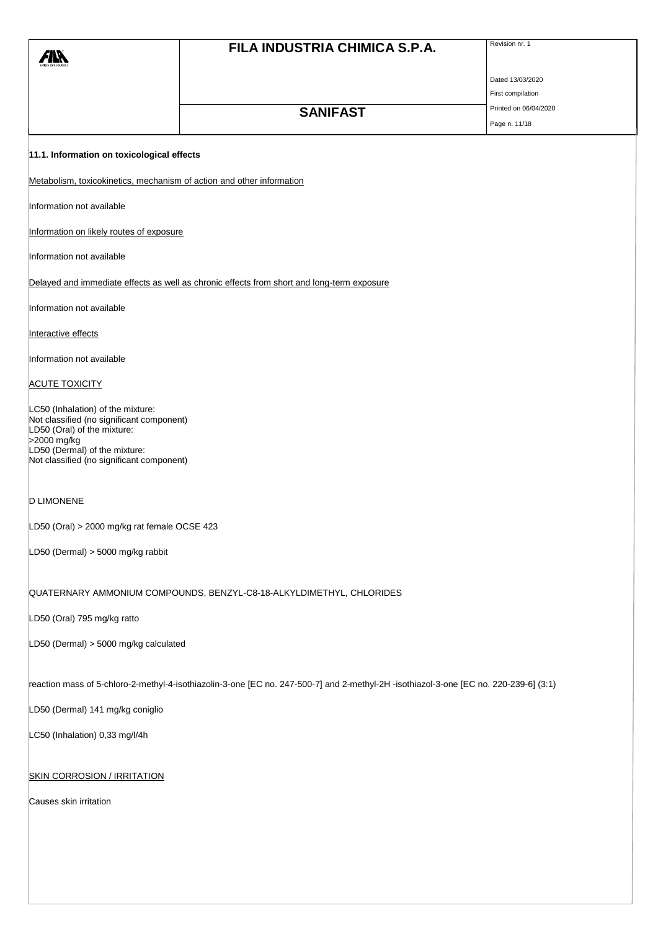|                                                                                                                                       | FILA INDUSTRIA CHIMICA S.P.A.                                                              | Revision nr. 1        |
|---------------------------------------------------------------------------------------------------------------------------------------|--------------------------------------------------------------------------------------------|-----------------------|
|                                                                                                                                       |                                                                                            |                       |
|                                                                                                                                       |                                                                                            | Dated 13/03/2020      |
|                                                                                                                                       |                                                                                            | First compilation     |
|                                                                                                                                       | <b>SANIFAST</b>                                                                            | Printed on 06/04/2020 |
|                                                                                                                                       |                                                                                            | Page n. 11/18         |
| 11.1. Information on toxicological effects                                                                                            |                                                                                            |                       |
| Metabolism, toxicokinetics, mechanism of action and other information                                                                 |                                                                                            |                       |
| Information not available                                                                                                             |                                                                                            |                       |
| Information on likely routes of exposure                                                                                              |                                                                                            |                       |
| Information not available                                                                                                             |                                                                                            |                       |
|                                                                                                                                       | Delayed and immediate effects as well as chronic effects from short and long-term exposure |                       |
| Information not available                                                                                                             |                                                                                            |                       |
| Interactive effects                                                                                                                   |                                                                                            |                       |
| Information not available                                                                                                             |                                                                                            |                       |
| <b>ACUTE TOXICITY</b>                                                                                                                 |                                                                                            |                       |
| LC50 (Inhalation) of the mixture:<br>Not classified (no significant component)<br>LD50 (Oral) of the mixture:<br>>2000 mg/kg          |                                                                                            |                       |
| LD50 (Dermal) of the mixture:<br>Not classified (no significant component)                                                            |                                                                                            |                       |
| <b>D LIMONENE</b>                                                                                                                     |                                                                                            |                       |
| LD50 (Oral) > 2000 mg/kg rat female OCSE 423                                                                                          |                                                                                            |                       |
| LD50 (Dermal) > 5000 mg/kg rabbit                                                                                                     |                                                                                            |                       |
|                                                                                                                                       | QUATERNARY AMMONIUM COMPOUNDS, BENZYL-C8-18-ALKYLDIMETHYL, CHLORIDES                       |                       |
| LD50 (Oral) 795 mg/kg ratto                                                                                                           |                                                                                            |                       |
| LD50 (Dermal) > 5000 mg/kg calculated                                                                                                 |                                                                                            |                       |
| reaction mass of 5-chloro-2-methyl-4-isothiazolin-3-one [EC no. 247-500-7] and 2-methyl-2H -isothiazol-3-one [EC no. 220-239-6] (3:1) |                                                                                            |                       |
| LD50 (Dermal) 141 mg/kg coniglio                                                                                                      |                                                                                            |                       |
| LC50 (Inhalation) 0,33 mg/l/4h                                                                                                        |                                                                                            |                       |
| <b>SKIN CORROSION / IRRITATION</b>                                                                                                    |                                                                                            |                       |
| Causes skin irritation                                                                                                                |                                                                                            |                       |
|                                                                                                                                       |                                                                                            |                       |
|                                                                                                                                       |                                                                                            |                       |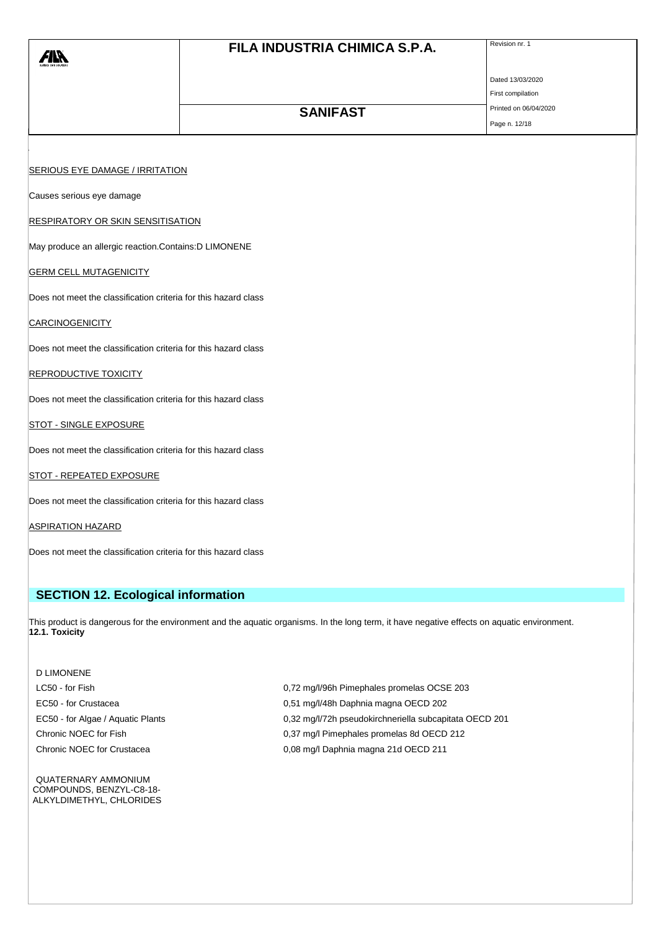| <i>FIN</i>                                                      | FILA INDUSTRIA CHIMICA S.P.A. | Revision nr. 1        |  |
|-----------------------------------------------------------------|-------------------------------|-----------------------|--|
|                                                                 |                               | Dated 13/03/2020      |  |
|                                                                 |                               | First compilation     |  |
|                                                                 | <b>SANIFAST</b>               | Printed on 06/04/2020 |  |
|                                                                 |                               | Page n. 12/18         |  |
|                                                                 |                               |                       |  |
| <b>SERIOUS EYE DAMAGE / IRRITATION</b>                          |                               |                       |  |
| Causes serious eye damage                                       |                               |                       |  |
| <b>RESPIRATORY OR SKIN SENSITISATION</b>                        |                               |                       |  |
| May produce an allergic reaction.Contains:D LIMONENE            |                               |                       |  |
| <b>GERM CELL MUTAGENICITY</b>                                   |                               |                       |  |
| Does not meet the classification criteria for this hazard class |                               |                       |  |
| <b>CARCINOGENICITY</b>                                          |                               |                       |  |
| Does not meet the classification criteria for this hazard class |                               |                       |  |
| <b>REPRODUCTIVE TOXICITY</b>                                    |                               |                       |  |
| Does not meet the classification criteria for this hazard class |                               |                       |  |
| <b>STOT - SINGLE EXPOSURE</b>                                   |                               |                       |  |
| Does not meet the classification criteria for this hazard class |                               |                       |  |
| <b>STOT - REPEATED EXPOSURE</b>                                 |                               |                       |  |
| Does not meet the classification criteria for this hazard class |                               |                       |  |
| <b>ASPIRATION HAZARD</b>                                        |                               |                       |  |

Does not meet the classification criteria for this hazard class

# **SECTION 12. Ecological information**

This product is dangerous for the environment and the aquatic organisms. In the long term, it have negative effects on aquatic environment. **12.1. Toxicity**

D LIMONENE

QUATERNARY AMMONIUM COMPOUNDS, BENZYL-C8-18- ALKYLDIMETHYL, CHLORIDES

LC50 - for Fish 0,72 mg/l/96h Pimephales promelas OCSE 203 EC50 - for Crustacea 0,51 mg/l/48h Daphnia magna OECD 202 EC50 - for Algae / Aquatic Plants 0,32 mg/l/72h pseudokirchneriella subcapitata OECD 201 Chronic NOEC for Fish 0,37 mg/l Pimephales promelas 8d OECD 212 Chronic NOEC for Crustacea **0,08 mg/l Daphnia magna 21d OECD 211**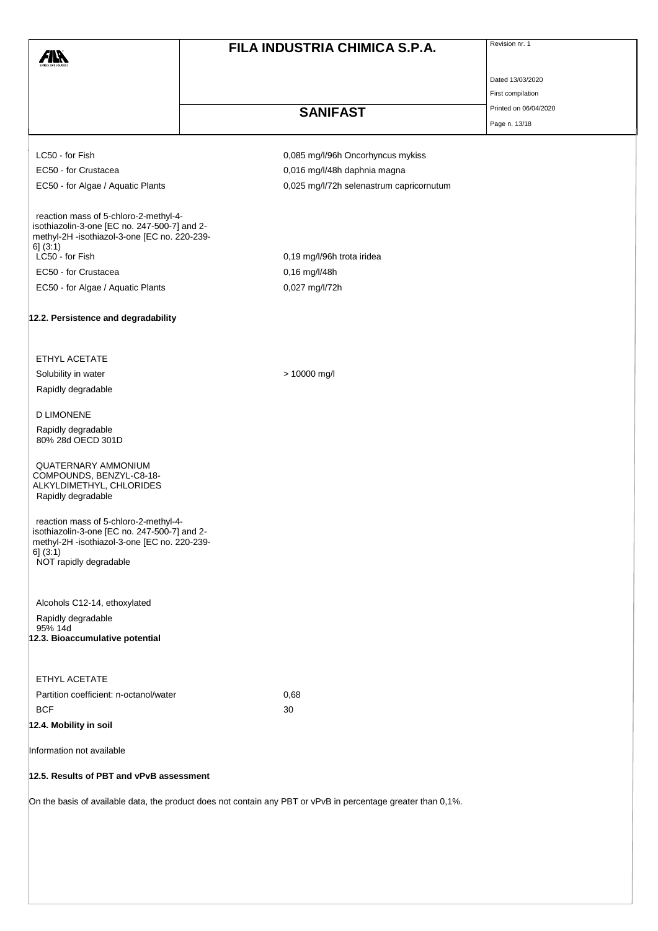| <i>FIN</i>                                                                                                                                                                  | FILA INDUSTRIA CHIMICA S.P.A.            | Revision nr. 1        |
|-----------------------------------------------------------------------------------------------------------------------------------------------------------------------------|------------------------------------------|-----------------------|
|                                                                                                                                                                             |                                          | Dated 13/03/2020      |
|                                                                                                                                                                             |                                          | First compilation     |
|                                                                                                                                                                             | <b>SANIFAST</b>                          | Printed on 06/04/2020 |
|                                                                                                                                                                             |                                          | Page n. 13/18         |
| LC50 - for Fish                                                                                                                                                             | 0,085 mg/l/96h Oncorhyncus mykiss        |                       |
| EC50 - for Crustacea                                                                                                                                                        | 0,016 mg/l/48h daphnia magna             |                       |
| EC50 - for Algae / Aquatic Plants                                                                                                                                           | 0,025 mg/l/72h selenastrum capricornutum |                       |
| reaction mass of 5-chloro-2-methyl-4-<br>isothiazolin-3-one [EC no. 247-500-7] and 2-<br>methyl-2H -isothiazol-3-one [EC no. 220-239-<br>6] (3:1)                           |                                          |                       |
| LC50 - for Fish                                                                                                                                                             | 0,19 mg/l/96h trota iridea               |                       |
| EC50 - for Crustacea                                                                                                                                                        | 0,16 mg/l/48h                            |                       |
| EC50 - for Algae / Aquatic Plants                                                                                                                                           | 0,027 mg/l/72h                           |                       |
| 12.2. Persistence and degradability                                                                                                                                         |                                          |                       |
| ETHYL ACETATE                                                                                                                                                               |                                          |                       |
| Solubility in water                                                                                                                                                         | > 10000 mg/l                             |                       |
| Rapidly degradable                                                                                                                                                          |                                          |                       |
| <b>D LIMONENE</b>                                                                                                                                                           |                                          |                       |
| Rapidly degradable<br>80% 28d OECD 301D                                                                                                                                     |                                          |                       |
| QUATERNARY AMMONIUM<br>COMPOUNDS, BENZYL-C8-18-<br>ALKYLDIMETHYL, CHLORIDES<br>Rapidly degradable                                                                           |                                          |                       |
| reaction mass of 5-chloro-2-methyl-4-<br>isothiazolin-3-one [EC no. 247-500-7] and 2-<br>methyl-2H -isothiazol-3-one [EC no. 220-239-<br>6] (3:1)<br>NOT rapidly degradable |                                          |                       |
| Alcohols C12-14, ethoxylated<br>Rapidly degradable<br>95% 14d<br>12.3. Bioaccumulative potential                                                                            |                                          |                       |
| ETHYL ACETATE                                                                                                                                                               |                                          |                       |
| Partition coefficient: n-octanol/water                                                                                                                                      | 0,68                                     |                       |
| <b>BCF</b>                                                                                                                                                                  | 30                                       |                       |
| 12.4. Mobility in soil                                                                                                                                                      |                                          |                       |
| Information not available                                                                                                                                                   |                                          |                       |

## **12.5. Results of PBT and vPvB assessment**

On the basis of available data, the product does not contain any PBT or vPvB in percentage greater than 0,1%.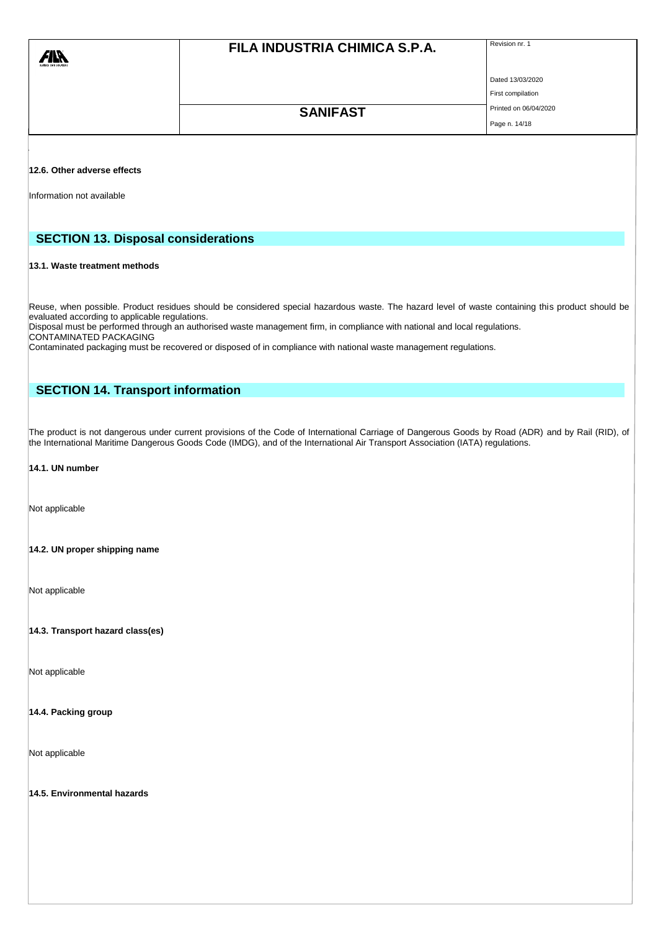|                             | FILA INDUSTRIA CHIMICA S.P.A. | Revision nr. 1        |
|-----------------------------|-------------------------------|-----------------------|
|                             |                               | Dated 13/03/2020      |
|                             |                               | First compilation     |
|                             | <b>SANIFAST</b>               | Printed on 06/04/2020 |
|                             |                               | Page n. 14/18         |
|                             |                               |                       |
| 12.6. Other adverse effects |                               |                       |

Information not available

# **SECTION 13. Disposal considerations**

#### **13.1. Waste treatment methods**

Reuse, when possible. Product residues should be considered special hazardous waste. The hazard level of waste containing this product should be evaluated according to applicable regulations.

Disposal must be performed through an authorised waste management firm, in compliance with national and local regulations. CONTAMINATED PACKAGING

Contaminated packaging must be recovered or disposed of in compliance with national waste management regulations.

# **SECTION 14. Transport information**

The product is not dangerous under current provisions of the Code of International Carriage of Dangerous Goods by Road (ADR) and by Rail (RID), of the International Maritime Dangerous Goods Code (IMDG), and of the International Air Transport Association (IATA) regulations.

### **14.1. UN number**

Not applicable

### **14.2. UN proper shipping name**

Not applicable

### **14.3. Transport hazard class(es)**

Not applicable

#### **14.4. Packing group**

Not applicable

**14.5. Environmental hazards**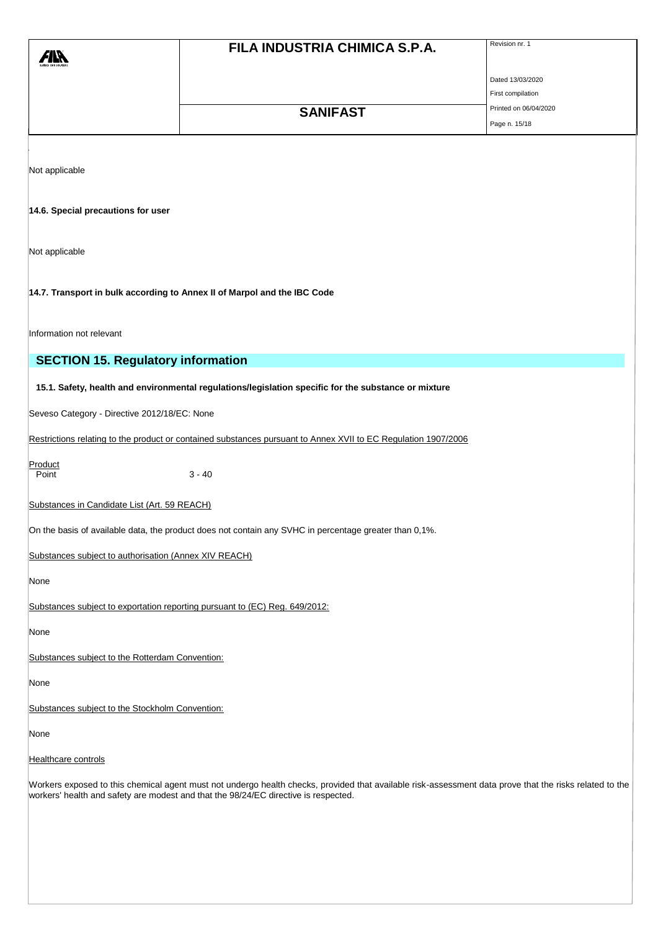|                                                       |                                                                                                                                                         | Revision nr. 1        |
|-------------------------------------------------------|---------------------------------------------------------------------------------------------------------------------------------------------------------|-----------------------|
| <b>AIR</b>                                            | FILA INDUSTRIA CHIMICA S.P.A.                                                                                                                           |                       |
|                                                       |                                                                                                                                                         |                       |
|                                                       |                                                                                                                                                         | Dated 13/03/2020      |
|                                                       |                                                                                                                                                         | First compilation     |
|                                                       | <b>SANIFAST</b>                                                                                                                                         | Printed on 06/04/2020 |
|                                                       |                                                                                                                                                         | Page n. 15/18         |
|                                                       |                                                                                                                                                         |                       |
|                                                       |                                                                                                                                                         |                       |
| Not applicable                                        |                                                                                                                                                         |                       |
|                                                       |                                                                                                                                                         |                       |
| 14.6. Special precautions for user                    |                                                                                                                                                         |                       |
|                                                       |                                                                                                                                                         |                       |
|                                                       |                                                                                                                                                         |                       |
| Not applicable                                        |                                                                                                                                                         |                       |
|                                                       |                                                                                                                                                         |                       |
|                                                       | 14.7. Transport in bulk according to Annex II of Marpol and the IBC Code                                                                                |                       |
|                                                       |                                                                                                                                                         |                       |
|                                                       |                                                                                                                                                         |                       |
| Information not relevant                              |                                                                                                                                                         |                       |
| <b>SECTION 15. Regulatory information</b>             |                                                                                                                                                         |                       |
|                                                       |                                                                                                                                                         |                       |
|                                                       | 15.1. Safety, health and environmental regulations/legislation specific for the substance or mixture                                                    |                       |
|                                                       |                                                                                                                                                         |                       |
| Seveso Category - Directive 2012/18/EC: None          |                                                                                                                                                         |                       |
|                                                       | Restrictions relating to the product or contained substances pursuant to Annex XVII to EC Regulation 1907/2006                                          |                       |
|                                                       |                                                                                                                                                         |                       |
| Product<br>Point                                      | $3 - 40$                                                                                                                                                |                       |
|                                                       |                                                                                                                                                         |                       |
| Substances in Candidate List (Art. 59 REACH)          |                                                                                                                                                         |                       |
|                                                       |                                                                                                                                                         |                       |
|                                                       | On the basis of available data, the product does not contain any SVHC in percentage greater than 0,1%.                                                  |                       |
| Substances subject to authorisation (Annex XIV REACH) |                                                                                                                                                         |                       |
|                                                       |                                                                                                                                                         |                       |
| None                                                  |                                                                                                                                                         |                       |
|                                                       | Substances subject to exportation reporting pursuant to (EC) Reg. 649/2012:                                                                             |                       |
|                                                       |                                                                                                                                                         |                       |
| None                                                  |                                                                                                                                                         |                       |
|                                                       |                                                                                                                                                         |                       |
| Substances subject to the Rotterdam Convention:       |                                                                                                                                                         |                       |
| None                                                  |                                                                                                                                                         |                       |
|                                                       |                                                                                                                                                         |                       |
| Substances subject to the Stockholm Convention:       |                                                                                                                                                         |                       |
| None                                                  |                                                                                                                                                         |                       |
|                                                       |                                                                                                                                                         |                       |
| Healthcare controls                                   |                                                                                                                                                         |                       |
|                                                       | Workers exposed to this chemical agent must not undergo health checks, provided that available risk-assessment data prove that the risks related to the |                       |
|                                                       | workers' health and safety are modest and that the 98/24/EC directive is respected.                                                                     |                       |
|                                                       |                                                                                                                                                         |                       |
|                                                       |                                                                                                                                                         |                       |
|                                                       |                                                                                                                                                         |                       |
|                                                       |                                                                                                                                                         |                       |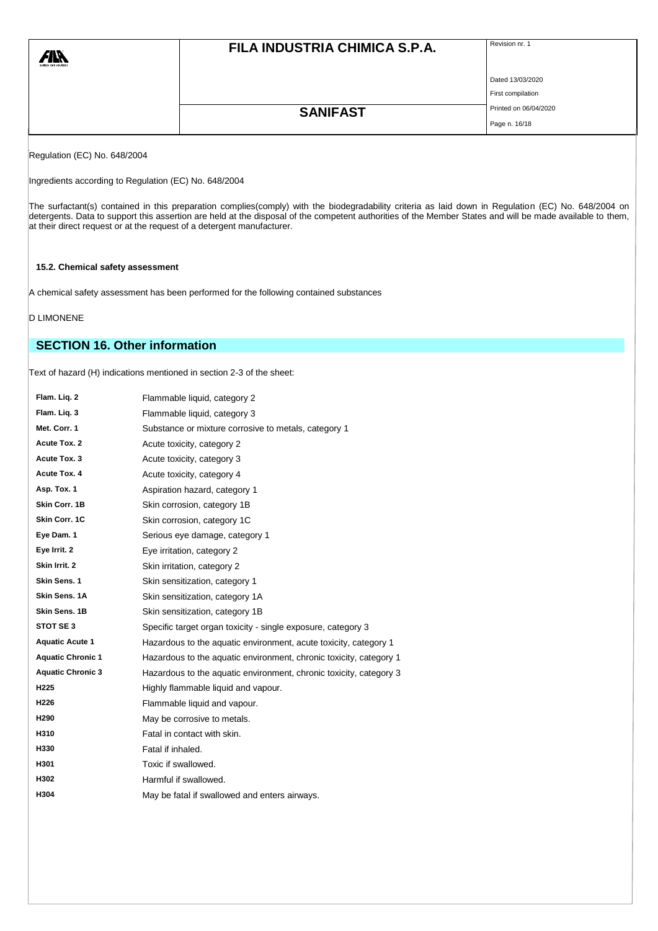| <b>71X</b><br>surface care solutions | FILA INDUSTRIA CHIMICA S.P.A. | Revision nr. 1        |
|--------------------------------------|-------------------------------|-----------------------|
|                                      |                               | Dated 13/03/2020      |
|                                      |                               | First compilation     |
|                                      | <b>SANIFAST</b>               | Printed on 06/04/2020 |
|                                      |                               | Page n. 16/18         |

Regulation (EC) No. 648/2004

Ingredients according to Regulation (EC) No. 648/2004

The surfactant(s) contained in this preparation complies(comply) with the biodegradability criteria as laid down in Regulation (EC) No. 648/2004 on detergents. Data to support this assertion are held at the disposal of the competent authorities of the Member States and will be made available to them, at their direct request or at the request of a detergent manufacturer.

### **15.2. Chemical safety assessment**

A chemical safety assessment has been performed for the following contained substances

### D LIMONENE

# **SECTION 16. Other information**

Text of hazard (H) indications mentioned in section 2-3 of the sheet:

| Flam. Liq. 2             | Flammable liquid, category 2                                       |
|--------------------------|--------------------------------------------------------------------|
| Flam. Liq. 3             | Flammable liquid, category 3                                       |
| Met. Corr. 1             | Substance or mixture corrosive to metals, category 1               |
| Acute Tox. 2             | Acute toxicity, category 2                                         |
| Acute Tox. 3             | Acute toxicity, category 3                                         |
| Acute Tox. 4             | Acute toxicity, category 4                                         |
| Asp. Tox. 1              | Aspiration hazard, category 1                                      |
| Skin Corr. 1B            | Skin corrosion, category 1B                                        |
| Skin Corr. 1C            | Skin corrosion, category 1C                                        |
| Eye Dam. 1               | Serious eye damage, category 1                                     |
| Eye Irrit. 2             | Eye irritation, category 2                                         |
| Skin Irrit. 2            | Skin irritation, category 2                                        |
| Skin Sens. 1             | Skin sensitization, category 1                                     |
| Skin Sens. 1A            | Skin sensitization, category 1A                                    |
| Skin Sens. 1B            | Skin sensitization, category 1B                                    |
| STOT SE 3                | Specific target organ toxicity - single exposure, category 3       |
| <b>Aquatic Acute 1</b>   | Hazardous to the aquatic environment, acute toxicity, category 1   |
| <b>Aquatic Chronic 1</b> | Hazardous to the aquatic environment, chronic toxicity, category 1 |
| <b>Aquatic Chronic 3</b> | Hazardous to the aquatic environment, chronic toxicity, category 3 |
| H225                     | Highly flammable liquid and vapour.                                |
| H226                     | Flammable liquid and vapour.                                       |
| H290                     | May be corrosive to metals.                                        |
| H310                     | Fatal in contact with skin.                                        |
| H330                     | Fatal if inhaled.                                                  |
| H301                     | Toxic if swallowed.                                                |
| H302                     | Harmful if swallowed.                                              |
| H304                     | May be fatal if swallowed and enters airways.                      |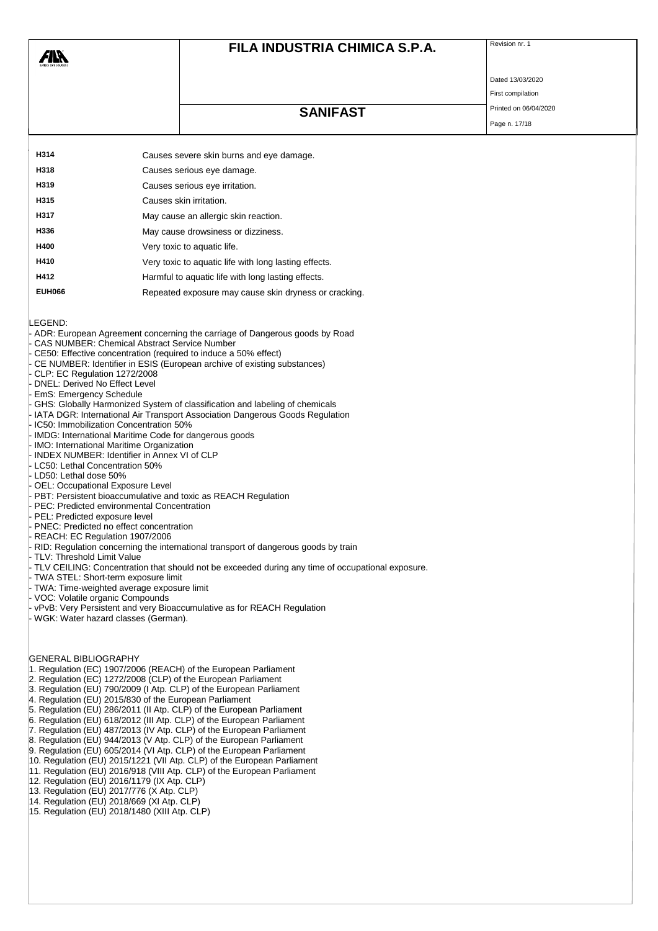| Ř<br>clutions | FILA INDUSTRIA CHIMICA S.P.A. | Revision nr. 1   |
|---------------|-------------------------------|------------------|
|               |                               | Dated 13/03/2020 |

# **SANIFAST** Printed on 06/04/2020

First compilation Page n. 17/18

| H314          | Causes severe skin burns and eye damage.              |
|---------------|-------------------------------------------------------|
| H318          | Causes serious eye damage.                            |
| H319          | Causes serious eye irritation.                        |
| H315          | Causes skin irritation.                               |
| H317          | May cause an allergic skin reaction.                  |
| H336          | May cause drowsiness or dizziness.                    |
| H400          | Very toxic to aquatic life.                           |
| H410          | Very toxic to aquatic life with long lasting effects. |
| H412          | Harmful to aquatic life with long lasting effects.    |
| <b>EUH066</b> | Repeated exposure may cause skin dryness or cracking. |

LEGEND:

Æľ

#### - ADR: European Agreement concerning the carriage of Dangerous goods by Road

- CAS NUMBER: Chemical Abstract Service Number
- CE50: Effective concentration (required to induce a 50% effect)
- CE NUMBER: Identifier in ESIS (European archive of existing substances)
- CLP: EC Regulation 1272/2008
- DNEL: Derived No Effect Level
- EmS: Emergency Schedule
- GHS: Globally Harmonized System of classification and labeling of chemicals IATA DGR: International Air Transport Association Dangerous Goods Regulation
- 
- IC50: Immobilization Concentration 50%
- IMDG: International Maritime Code for dangerous goods
- IMO: International Maritime Organization
- INDEX NUMBER: Identifier in Annex VI of CLP
- LC50: Lethal Concentration 50%
- LD50: Lethal dose 50%
- OEL: Occupational Exposure Level
- PBT: Persistent bioaccumulative and toxic as REACH Regulation
- PEC: Predicted environmental Concentration
- PEL: Predicted exposure level
- PNEC: Predicted no effect concentration
- REACH: EC Regulation 1907/2006
- RID: Regulation concerning the international transport of dangerous goods by train
- TLV: Threshold Limit Value
- TLV CEILING: Concentration that should not be exceeded during any time of occupational exposure.
- TWA STEL: Short-term exposure limit
- TWA: Time-weighted average exposure limit
- VOC: Volatile organic Compounds
- vPvB: Very Persistent and very Bioaccumulative as for REACH Regulation
- WGK: Water hazard classes (German).

GENERAL BIBLIOGRAPHY

- 1. Regulation (EC) 1907/2006 (REACH) of the European Parliament
- 2. Regulation (EC) 1272/2008 (CLP) of the European Parliament
- 3. Regulation (EU) 790/2009 (I Atp. CLP) of the European Parliament
- 4. Regulation (EU) 2015/830 of the European Parliament
- 5. Regulation (EU) 286/2011 (II Atp. CLP) of the European Parliament
- 6. Regulation (EU) 618/2012 (III Atp. CLP) of the European Parliament
- 7. Regulation (EU) 487/2013 (IV Atp. CLP) of the European Parliament
- 8. Regulation (EU) 944/2013 (V Atp. CLP) of the European Parliament
- 9. Regulation (EU) 605/2014 (VI Atp. CLP) of the European Parliament
- 10. Regulation (EU) 2015/1221 (VII Atp. CLP) of the European Parliament
- 11. Regulation (EU) 2016/918 (VIII Atp. CLP) of the European Parliament
- 12. Regulation (EU) 2016/1179 (IX Atp. CLP)
- 13. Regulation (EU) 2017/776 (X Atp. CLP)
- 14. Regulation (EU) 2018/669 (XI Atp. CLP)
- 15. Regulation (EU) 2018/1480 (XIII Atp. CLP)